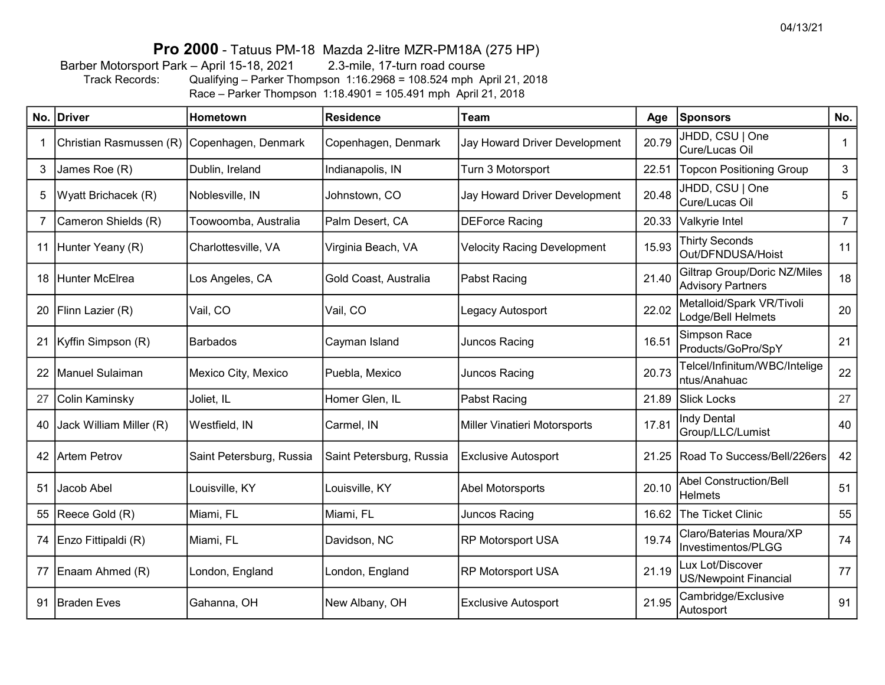### Pro 2000 - Tatuus PM-18 Mazda 2-litre MZR-PM18A (275 HP)

Barber Motorsport Park – April 15-18, 2021 2.3-mile, 17-turn road course Track Records: Qualifying – Parker Thompson 1:16.2968 = 108.524 mph April 21, 2018

Race – Parker Thompson 1:18.4901 = 105.491 mph April 21, 2018

|             | No. Driver              | Hometown                 | <b>Residence</b>         | <b>Team</b>                        | Age   | Sponsors                                                        | No.            |
|-------------|-------------------------|--------------------------|--------------------------|------------------------------------|-------|-----------------------------------------------------------------|----------------|
|             | Christian Rasmussen (R) | Copenhagen, Denmark      | Copenhagen, Denmark      | Jay Howard Driver Development      | 20.79 | JHDD, CSU   One<br>Cure/Lucas Oil                               |                |
| 3           | James Roe (R)           | Dublin, Ireland          | Indianapolis, IN         | Turn 3 Motorsport                  | 22.51 | <b>Topcon Positioning Group</b>                                 | $\mathbf{3}$   |
| 5           | Wyatt Brichacek (R)     | Noblesville, IN          | Johnstown, CO            | Jay Howard Driver Development      | 20.48 | JHDD, CSU   One<br>Cure/Lucas Oil                               |                |
| $7^{\circ}$ | Cameron Shields (R)     | Toowoomba, Australia     | Palm Desert, CA          | <b>DEForce Racing</b>              | 20.33 | Valkyrie Intel                                                  | $\overline{7}$ |
|             | 11 Hunter Yeany (R)     | Charlottesville, VA      | Virginia Beach, VA       | <b>Velocity Racing Development</b> | 15.93 | <b>Thirty Seconds</b><br>Out/DFNDUSA/Hoist                      | 11             |
|             | 18 Hunter McElrea       | Los Angeles, CA          | Gold Coast, Australia    | Pabst Racing                       | 21.40 | <b>Giltrap Group/Doric NZ/Miles</b><br><b>Advisory Partners</b> | 18             |
|             | 20   Flinn Lazier (R)   | Vail, CO                 | Vail, CO                 | Legacy Autosport                   | 22.02 | Metalloid/Spark VR/Tivoli<br>Lodge/Bell Helmets                 |                |
|             | 21   Kyffin Simpson (R) | Barbados                 | Cayman Island            | Juncos Racing                      | 16.51 | Simpson Race<br>Products/GoPro/SpY                              | 21             |
|             | 22   Manuel Sulaiman    | Mexico City, Mexico      | Puebla, Mexico           | Juncos Racing                      | 20.73 | Telcel/Infinitum/WBC/Intelige<br>ntus/Anahuac                   | 22             |
| 27          | Colin Kaminsky          | Joliet, IL               | Homer Glen, IL           | Pabst Racing                       | 21.89 | <b>Slick Locks</b>                                              | 27             |
| 40          | Jack William Miller (R) | Westfield, IN            | Carmel, IN               | Miller Vinatieri Motorsports       | 17.81 | <b>Indy Dental</b><br>Group/LLC/Lumist                          | 40             |
|             | 42 Artem Petrov         | Saint Petersburg, Russia | Saint Petersburg, Russia | <b>Exclusive Autosport</b>         | 21.25 | Road To Success/Bell/226ers                                     | 42             |
| 51          | Jacob Abel              | Louisville, KY           | Louisville, KY           | <b>Abel Motorsports</b>            | 20.10 | <b>Abel Construction/Bell</b><br><b>Helmets</b>                 |                |
|             | 55 Reece Gold (R)       | Miami, FL                | Miami, FL                | Juncos Racing                      | 16.62 | The Ticket Clinic                                               |                |
|             | 74 Enzo Fittipaldi (R)  | Miami, FL                | Davidson, NC             | <b>RP Motorsport USA</b>           | 19.74 | Claro/Baterias Moura/XP<br>Investimentos/PLGG                   |                |
|             | 77 Enaam Ahmed (R)      | London, England          | London, England          | <b>RP Motorsport USA</b>           | 21.19 | Lux Lot/Discover<br><b>US/Newpoint Financial</b>                | 77             |
| 91          | <b>Braden Eves</b>      | Gahanna, OH              | New Albany, OH           | <b>Exclusive Autosport</b>         | 21.95 | Cambridge/Exclusive<br>Autosport                                | 91             |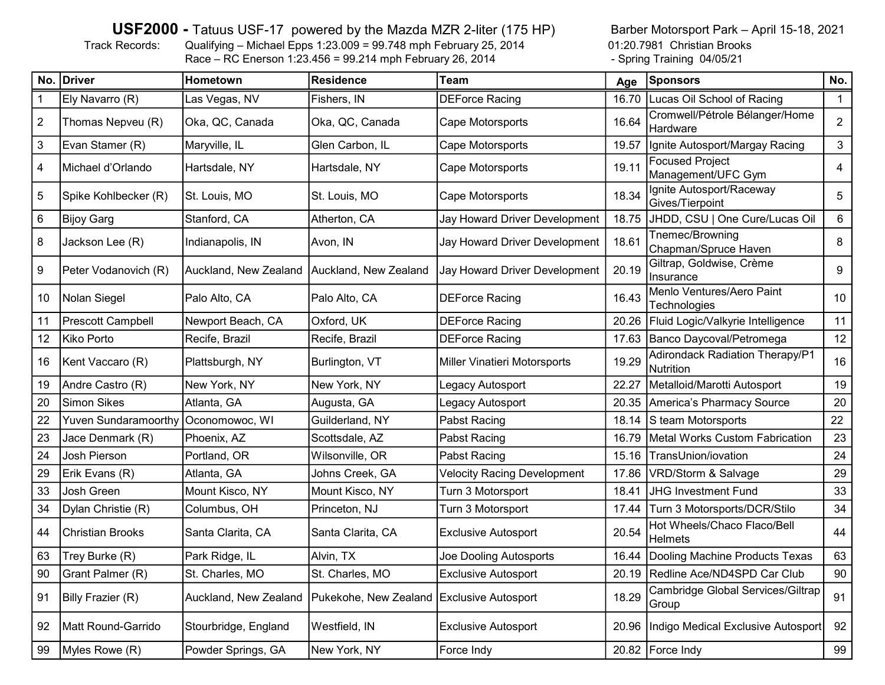#### USF2000 - Tatuus USF-17 powered by the Mazda MZR 2-liter (175 HP)

Track Records: Qualifying – Michael Epps 1:23.009 = 99.748 mph February 25, 2014 01:20.7981 Christian Brooks<br>Race – RC Enerson 1:23.456 = 99.214 mph February 26, 2014 - Spring Training 04/05/21  $Race - RC$  Enerson 1:23.456 = 99.214 mph February 26, 2014

Barber Motorsport Park – April 15-18, 2021

|                | No. Driver               | Hometown              | Residence                                 | Team                                | Age   | <b>Sponsors</b>                                     | No. |
|----------------|--------------------------|-----------------------|-------------------------------------------|-------------------------------------|-------|-----------------------------------------------------|-----|
| $\mathbf 1$    | Ely Navarro (R)          | Las Vegas, NV         | Fishers, IN                               | <b>DEForce Racing</b>               | 16.70 | Lucas Oil School of Racing                          |     |
| $\overline{2}$ | Thomas Nepveu (R)        | Oka, QC, Canada       | Oka, QC, Canada                           | Cape Motorsports                    | 16.64 | Cromwell/Pétrole Bélanger/Home<br>Hardware          |     |
| $\sqrt{3}$     | Evan Stamer (R)          | Maryville, IL         | Glen Carbon, IL                           | Cape Motorsports                    | 19.57 | Ignite Autosport/Margay Racing                      | 3   |
| 4              | Michael d'Orlando        | Hartsdale, NY         | Hartsdale, NY                             | Cape Motorsports                    | 19.11 | <b>Focused Project</b><br>Management/UFC Gym        | 4   |
| $\sqrt{5}$     | Spike Kohlbecker (R)     | St. Louis, MO         | St. Louis, MO                             | Cape Motorsports                    | 18.34 | Ignite Autosport/Raceway<br>Gives/Tierpoint         | 5   |
| $\,6$          | <b>Bijoy Garg</b>        | Stanford, CA          | Atherton, CA                              | Jay Howard Driver Development       | 18.75 | JHDD, CSU   One Cure/Lucas Oil                      | 6   |
| 8              | Jackson Lee (R)          | Indianapolis, IN      | Avon, IN                                  | Jay Howard Driver Development       | 18.61 | Tnemec/Browning<br>Chapman/Spruce Haven             | 8   |
| 9              | Peter Vodanovich (R)     | Auckland, New Zealand | Auckland, New Zealand                     | Jay Howard Driver Development       | 20.19 | Giltrap, Goldwise, Crème<br>Insurance               | 9   |
| 10             | Nolan Siegel             | Palo Alto, CA         | Palo Alto, CA                             | <b>DEForce Racing</b>               | 16.43 | Menlo Ventures/Aero Paint<br>Technologies           |     |
| 11             | <b>Prescott Campbell</b> | Newport Beach, CA     | Oxford, UK                                | <b>DEForce Racing</b>               | 20.26 | Fluid Logic/Valkyrie Intelligence                   |     |
| 12             | Kiko Porto               | Recife, Brazil        | Recife, Brazil                            | <b>DEForce Racing</b>               | 17.63 | Banco Daycoval/Petromega                            |     |
| 16             | Kent Vaccaro (R)         | Plattsburgh, NY       | Burlington, VT                            | <b>Miller Vinatieri Motorsports</b> | 19.29 | <b>Adirondack Radiation Therapy/P1</b><br>Nutrition | 16  |
| 19             | Andre Castro (R)         | New York, NY          | New York, NY                              | Legacy Autosport                    | 22.27 | Metalloid/Marotti Autosport                         |     |
| 20             | <b>Simon Sikes</b>       | Atlanta, GA           | Augusta, GA                               | Legacy Autosport                    | 20.35 | America's Pharmacy Source                           |     |
| 22             | Yuven Sundaramoorthy     | Oconomowoc, WI        | Guilderland, NY                           | Pabst Racing                        | 18.14 | S team Motorsports                                  |     |
| 23             | Jace Denmark (R)         | Phoenix, AZ           | Scottsdale, AZ                            | Pabst Racing                        | 16.79 | <b>Metal Works Custom Fabrication</b>               | 23  |
| 24             | Josh Pierson             | Portland, OR          | Wilsonville, OR                           | Pabst Racing                        | 15.16 | TransUnion/iovation                                 | 24  |
| 29             | Erik Evans (R)           | Atlanta, GA           | Johns Creek, GA                           | <b>Velocity Racing Development</b>  | 17.86 | VRD/Storm & Salvage                                 | 29  |
| 33             | Josh Green               | Mount Kisco, NY       | Mount Kisco, NY                           | Turn 3 Motorsport                   | 18.41 | <b>JHG Investment Fund</b>                          |     |
| 34             | Dylan Christie (R)       | Columbus, OH          | Princeton, NJ                             | Turn 3 Motorsport                   | 17.44 | Turn 3 Motorsports/DCR/Stilo                        |     |
| 44             | <b>Christian Brooks</b>  | Santa Clarita, CA     | Santa Clarita, CA                         | <b>Exclusive Autosport</b>          | 20.54 | Hot Wheels/Chaco Flaco/Bell<br>Helmets              |     |
| 63             | Trey Burke (R)           | Park Ridge, IL        | Alvin, TX                                 | Joe Dooling Autosports              |       | 16.44 Dooling Machine Products Texas                |     |
| 90             | Grant Palmer (R)         | St. Charles, MO       | St. Charles, MO                           | <b>Exclusive Autosport</b>          |       | 20.19 Redline Ace/ND4SPD Car Club                   | 90  |
| 91             | <b>Billy Frazier (R)</b> | Auckland, New Zealand | Pukekohe, New Zealand Exclusive Autosport |                                     | 18.29 | Cambridge Global Services/Giltrap<br>Group          | 91  |
| 92             | Matt Round-Garrido       | Stourbridge, England  | Westfield, IN                             | <b>Exclusive Autosport</b>          |       | 20.96 Indigo Medical Exclusive Autosport            |     |
| 99             | Myles Rowe (R)           | Powder Springs, GA    | New York, NY                              | Force Indy                          |       | 20.82   Force Indy                                  | 99  |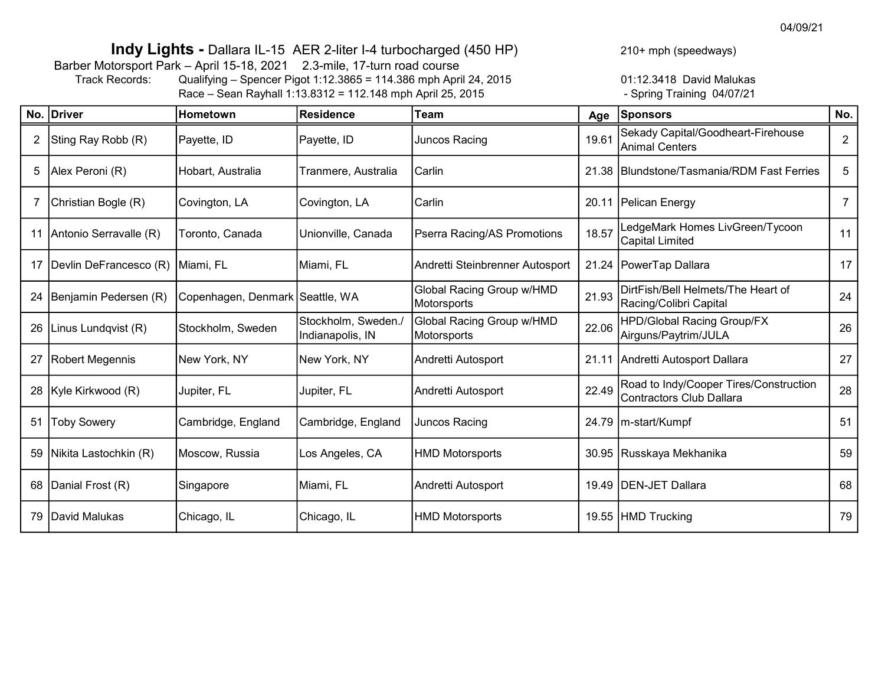04/09/21

## Indy Lights - Dallara IL-15 AER 2-liter I-4 turbocharged (450 HP)

Barber Motorsport Park – April 15-18, 2021 2.3-mile, 17-turn road course<br>Track Records: Qualifying – Spencer Pigot 1:12.3865 = 114.386 mph Apri

Track Records: Qualifying – Spencer Pigot 1:12.3865 = 114.386 mph April 24, 2015 01:12.3418 David Malukas  $Race - Sean Rayhall 1:13.8312 = 112.148 mph April 25, 2015$ 

210+ mph (speedways)

|    | No. Driver             | Hometown                        | <b>Residence</b>                        | <b>Team</b>                              | Age   | Sponsors                                                           | No.            |
|----|------------------------|---------------------------------|-----------------------------------------|------------------------------------------|-------|--------------------------------------------------------------------|----------------|
| 2  | Sting Ray Robb (R)     | Payette, ID                     | Payette, ID                             | Juncos Racing                            | 19.61 | Sekady Capital/Goodheart-Firehouse<br>Animal Centers               | $\overline{2}$ |
| 5  | Alex Peroni (R)        | Hobart, Australia               | Tranmere, Australia                     | <b>Carlin</b>                            |       | 21.38 Blundstone/Tasmania/RDM Fast Ferries                         | 5              |
|    | Christian Bogle (R)    | Covington, LA                   | Covington, LA                           | Carlin                                   |       | 20.11   Pelican Energy                                             | 7              |
|    | Antonio Serravalle (R) | Toronto, Canada                 | Unionville, Canada                      | Pserra Racing/AS Promotions              | 18.57 | LedgeMark Homes LivGreen/Tycoon<br>Capital Limited                 | 11             |
| 17 | Devlin DeFrancesco (R) | Miami, FL                       | Miami, FL                               | Andretti Steinbrenner Autosport          |       | 21.24   PowerTap Dallara                                           | 17             |
|    | Benjamin Pedersen (R)  | Copenhagen, Denmark Seattle, WA |                                         | Global Racing Group w/HMD<br>Motorsports | 21.93 | DirtFish/Bell Helmets/The Heart of<br>Racing/Colibri Capital       | 24             |
| 26 | Linus Lundqvist (R)    | Stockholm, Sweden               | Stockholm, Sweden./<br>Indianapolis, IN | Global Racing Group w/HMD<br>Motorsports | 22.06 | <b>HPD/Global Racing Group/FX</b><br>Airguns/Paytrim/JULA          | 26             |
|    | Robert Megennis        | New York, NY                    | New York, NY                            | Andretti Autosport                       |       | 21.11 Andretti Autosport Dallara                                   | 27             |
|    | 28   Kyle Kirkwood (R) | Jupiter, FL                     | Jupiter, FL                             | Andretti Autosport                       | 22.49 | Road to Indy/Cooper Tires/Construction<br>Contractors Club Dallara | 28             |
| 51 | <b>Toby Sowery</b>     | Cambridge, England              | Cambridge, England                      | Juncos Racing                            |       | 24.79   m-start/Kumpf                                              | 51             |
| 59 | Nikita Lastochkin (R)  | Moscow, Russia                  | Los Angeles, CA                         | HMD Motorsports                          |       | 30.95 Russkaya Mekhanika                                           | 59             |
| 68 | Danial Frost (R)       | Singapore                       | Miami, FL                               | Andretti Autosport                       |       | 19.49   DEN-JET Dallara                                            | 68             |
| 79 | David Malukas          | Chicago, IL                     | Chicago, IL                             | HMD Motorsports                          |       | 19.55 HMD Trucking                                                 | 79             |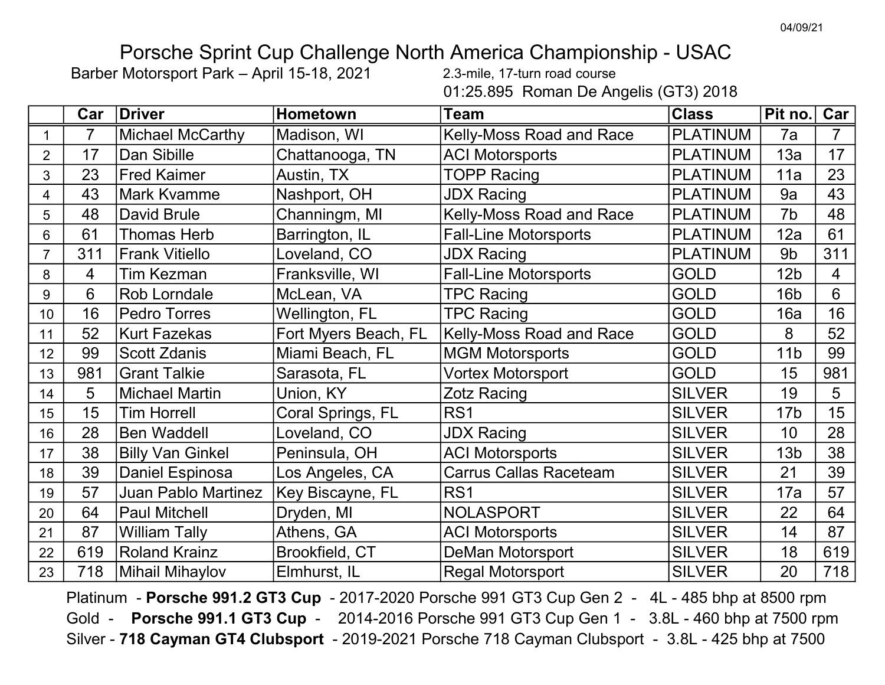# Porsche Sprint Cup Challenge North America Championship - USAC

Barber Motorsport Park – April 15-18, 2021 2.3-mile, 17-turn road course

01:25.895 Roman De Angelis (GT3) 2018

|                | Car | <b>Driver</b>              | <b>Hometown</b>      | <b>Team</b>                     | <b>Class</b>    | Pit no.         | Car <sub>l</sub> |
|----------------|-----|----------------------------|----------------------|---------------------------------|-----------------|-----------------|------------------|
| $\mathbf 1$    |     | <b>Michael McCarthy</b>    | Madison, WI          | <b>Kelly-Moss Road and Race</b> | <b>PLATINUM</b> | 7a              | 7                |
| $\overline{2}$ | 17  | Dan Sibille                | Chattanooga, TN      | <b>ACI Motorsports</b>          | <b>PLATINUM</b> | 13a             | 17               |
| 3              | 23  | <b>Fred Kaimer</b>         | Austin, TX           | <b>TOPP Racing</b>              | <b>PLATINUM</b> | 11a             | 23               |
| $\overline{4}$ | 43  | <b>Mark Kvamme</b>         | Nashport, OH         | <b>JDX Racing</b>               | <b>PLATINUM</b> | 9a              | 43               |
| 5              | 48  | <b>David Brule</b>         | Channingm, MI        | <b>Kelly-Moss Road and Race</b> | <b>PLATINUM</b> | 7b              | 48               |
| 6              | 61  | <b>Thomas Herb</b>         | Barrington, IL       | <b>Fall-Line Motorsports</b>    | <b>PLATINUM</b> | 12a             | 61               |
| $\overline{7}$ | 311 | <b>Frank Vitiello</b>      | Loveland, CO         | <b>JDX Racing</b>               | <b>PLATINUM</b> | 9 <sub>b</sub>  | 311              |
| 8              | 4   | <b>Tim Kezman</b>          | Franksville, WI      | <b>Fall-Line Motorsports</b>    | <b>GOLD</b>     | 12 <sub>b</sub> | $\overline{4}$   |
| 9              | 6   | Rob Lorndale               | McLean, VA           | <b>TPC Racing</b>               | <b>GOLD</b>     | 16 <sub>b</sub> | 6                |
| 10             | 16  | <b>Pedro Torres</b>        | Wellington, FL       | <b>TPC Racing</b>               | <b>GOLD</b>     | 16a             | 16               |
| 11             | 52  | <b>Kurt Fazekas</b>        | Fort Myers Beach, FL | <b>Kelly-Moss Road and Race</b> | <b>GOLD</b>     | 8               | 52               |
| 12             | 99  | <b>Scott Zdanis</b>        | Miami Beach, FL      | <b>MGM Motorsports</b>          | <b>GOLD</b>     | 11 <sub>b</sub> | 99               |
| 13             | 981 | <b>Grant Talkie</b>        | Sarasota, FL         | <b>Vortex Motorsport</b>        | <b>GOLD</b>     | 15              | 981              |
| 14             | 5   | <b>Michael Martin</b>      | Union, KY            | <b>Zotz Racing</b>              | <b>SILVER</b>   | 19              | 5                |
| 15             | 15  | <b>Tim Horrell</b>         | Coral Springs, FL    | RS <sub>1</sub>                 | <b>SILVER</b>   | 17 <sub>b</sub> | 15               |
| 16             | 28  | <b>Ben Waddell</b>         | Loveland, CO         | <b>JDX Racing</b>               | <b>SILVER</b>   | 10              | 28               |
| 17             | 38  | <b>Billy Van Ginkel</b>    | Peninsula, OH        | <b>ACI Motorsports</b>          | <b>SILVER</b>   | 13 <sub>b</sub> | 38               |
| 18             | 39  | <b>Daniel Espinosa</b>     | Los Angeles, CA      | <b>Carrus Callas Raceteam</b>   | <b>SILVER</b>   | 21              | 39               |
| 19             | 57  | <b>Juan Pablo Martinez</b> | Key Biscayne, FL     | RS <sub>1</sub>                 | <b>SILVER</b>   | 17a             | 57               |
| 20             | 64  | <b>Paul Mitchell</b>       | Dryden, MI           | <b>NOLASPORT</b>                | <b>SILVER</b>   | 22              | 64               |
| 21             | 87  | <b>William Tally</b>       | Athens, GA           | <b>ACI Motorsports</b>          | <b>SILVER</b>   | 14              | 87               |
| 22             | 619 | <b>Roland Krainz</b>       | Brookfield, CT       | DeMan Motorsport                | <b>SILVER</b>   | 18              | 619              |
| 23             | 718 | <b>Mihail Mihaylov</b>     | Elmhurst, IL         | <b>Regal Motorsport</b>         | <b>SILVER</b>   | 20              | 718              |

Platinum - Porsche 991.2 GT3 Cup - 2017-2020 Porsche 991 GT3 Cup Gen 2 - 4L - 485 bhp at 8500 rpm Gold - Porsche 991.1 GT3 Cup - 2014-2016 Porsche 991 GT3 Cup Gen 1 - 3.8L - 460 bhp at 7500 rpm Silver - 718 Cayman GT4 Clubsport - 2019-2021 Porsche 718 Cayman Clubsport - 3.8L - 425 bhp at 7500